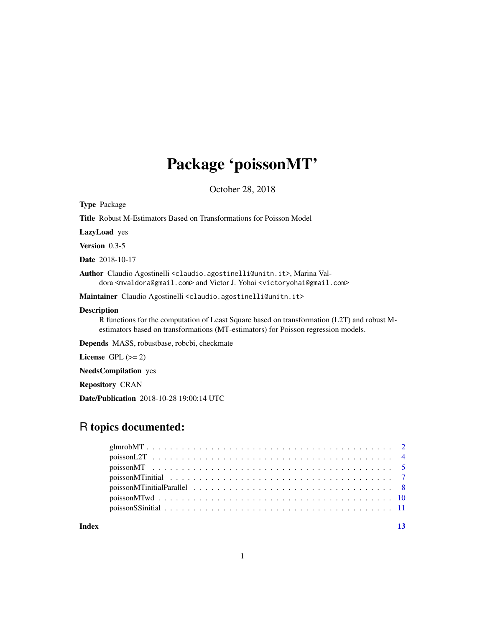## Package 'poissonMT'

October 28, 2018

<span id="page-0-0"></span>Type Package

| <b>Title</b> Robust M-Estimators Based on Transformations for Poisson Model |  |
|-----------------------------------------------------------------------------|--|
| <b>LazyLoad</b> ves                                                         |  |

Version 0.3-5

Date 2018-10-17

Author Claudio Agostinelli <claudio.agostinelli@unitn.it>, Marina Valdora <mvaldora@gmail.com> and Victor J. Yohai <victoryohai@gmail.com>

Maintainer Claudio Agostinelli <claudio.agostinelli@unitn.it>

#### Description

R functions for the computation of Least Square based on transformation (L2T) and robust Mestimators based on transformations (MT-estimators) for Poisson regression models.

Depends MASS, robustbase, robcbi, checkmate

License GPL  $(>= 2)$ 

NeedsCompilation yes

Repository CRAN

Date/Publication 2018-10-28 19:00:14 UTC

## R topics documented:

**Index** [13](#page-12-0)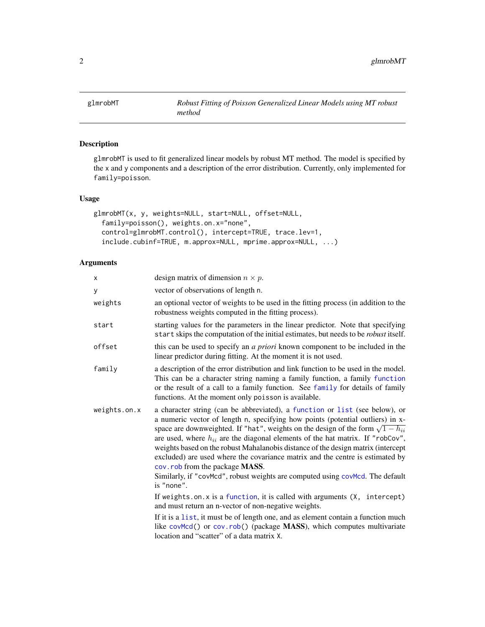<span id="page-1-1"></span><span id="page-1-0"></span>

## Description

glmrobMT is used to fit generalized linear models by robust MT method. The model is specified by the x and y components and a description of the error distribution. Currently, only implemented for family=poisson.

#### Usage

```
glmrobMT(x, y, weights=NULL, start=NULL, offset=NULL,
  family=poisson(), weights.on.x="none",
  control=glmrobMT.control(), intercept=TRUE, trace.lev=1,
  include.cubinf=TRUE, m.approx=NULL, mprime.approx=NULL, ...)
```
#### Arguments

| X            | design matrix of dimension $n \times p$ .                                                                                                                                                                                                                                                                                                                                                                                                                                                                                                                                                                                                                                                                                                                                                                                                                                                                                                                                                                    |
|--------------|--------------------------------------------------------------------------------------------------------------------------------------------------------------------------------------------------------------------------------------------------------------------------------------------------------------------------------------------------------------------------------------------------------------------------------------------------------------------------------------------------------------------------------------------------------------------------------------------------------------------------------------------------------------------------------------------------------------------------------------------------------------------------------------------------------------------------------------------------------------------------------------------------------------------------------------------------------------------------------------------------------------|
| У            | vector of observations of length n.                                                                                                                                                                                                                                                                                                                                                                                                                                                                                                                                                                                                                                                                                                                                                                                                                                                                                                                                                                          |
| weights      | an optional vector of weights to be used in the fitting process (in addition to the<br>robustness weights computed in the fitting process).                                                                                                                                                                                                                                                                                                                                                                                                                                                                                                                                                                                                                                                                                                                                                                                                                                                                  |
| start        | starting values for the parameters in the linear predictor. Note that specifying<br>start skips the computation of the initial estimates, but needs to be <i>robust</i> itself.                                                                                                                                                                                                                                                                                                                                                                                                                                                                                                                                                                                                                                                                                                                                                                                                                              |
| offset       | this can be used to specify an <i>a priori</i> known component to be included in the<br>linear predictor during fitting. At the moment it is not used.                                                                                                                                                                                                                                                                                                                                                                                                                                                                                                                                                                                                                                                                                                                                                                                                                                                       |
| family       | a description of the error distribution and link function to be used in the model.<br>This can be a character string naming a family function, a family function<br>or the result of a call to a family function. See family for details of family<br>functions. At the moment only poisson is available.                                                                                                                                                                                                                                                                                                                                                                                                                                                                                                                                                                                                                                                                                                    |
| weights.on.x | a character string (can be abbreviated), a function or list (see below), or<br>a numeric vector of length n, specifying how points (potential outliers) in x-<br>space are downweighted. If "hat", weights on the design of the form $\sqrt{1 - h_{ii}}$<br>are used, where $h_{ii}$ are the diagonal elements of the hat matrix. If "robCov",<br>weights based on the robust Mahalanobis distance of the design matrix (intercept<br>excluded) are used where the covariance matrix and the centre is estimated by<br>cov. rob from the package MASS.<br>Similarly, if "covMcd", robust weights are computed using covMcd. The default<br>is "none".<br>If weights.on. $x$ is a function, it is called with arguments $(X,$ intercept)<br>and must return an n-vector of non-negative weights.<br>If it is a list, it must be of length one, and as element contain a function much<br>like covMcd() or cov.rob() (package MASS), which computes multivariate<br>location and "scatter" of a data matrix X. |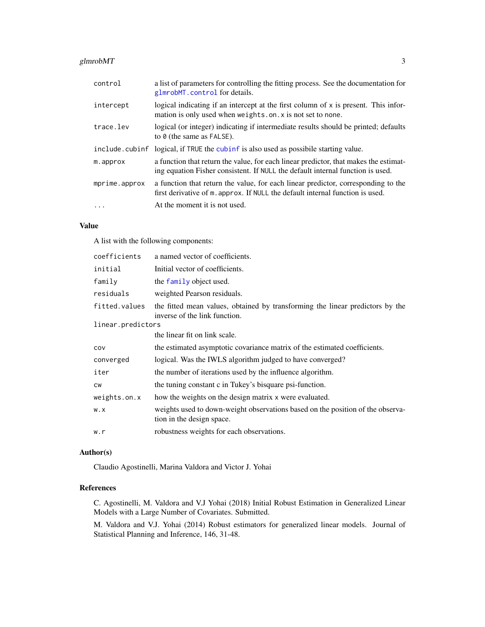## <span id="page-2-0"></span>glmrobMT 3

| control        | a list of parameters for controlling the fitting process. See the documentation for<br>glmrobMT.control for details.                                                   |
|----------------|------------------------------------------------------------------------------------------------------------------------------------------------------------------------|
| intercept      | logical indicating if an intercept at the first column of x is present. This infor-<br>mation is only used when weights.on. x is not set to none.                      |
| trace.lev      | logical (or integer) indicating if intermediate results should be printed; defaults<br>to $\theta$ (the same as FALSE).                                                |
| include.cubinf | logical, if TRUE the cubinf is also used as possibile starting value.                                                                                                  |
| m.approx       | a function that return the value, for each linear predictor, that makes the estimat-<br>ing equation Fisher consistent. If NULL the default internal function is used. |
| mprime.approx  | a function that return the value, for each linear predictor, corresponding to the<br>first derivative of m. approx. If NULL the default internal function is used.     |
| $\ddotsc$      | At the moment it is not used.                                                                                                                                          |

## Value

A list with the following components:

| coefficients      | a named vector of coefficients.                                                                                |
|-------------------|----------------------------------------------------------------------------------------------------------------|
| initial           | Initial vector of coefficients.                                                                                |
| family            | the family object used.                                                                                        |
| residuals         | weighted Pearson residuals.                                                                                    |
| fitted.values     | the fitted mean values, obtained by transforming the linear predictors by the<br>inverse of the link function. |
| linear.predictors |                                                                                                                |
|                   | the linear fit on link scale.                                                                                  |
| cov               | the estimated asymptotic covariance matrix of the estimated coefficients.                                      |
| converged         | logical. Was the IWLS algorithm judged to have converged?                                                      |
| iter              | the number of iterations used by the influence algorithm.                                                      |
| <b>CW</b>         | the tuning constant c in Tukey's bisquare psi-function.                                                        |
| weights.on.x      | how the weights on the design matrix x were evaluated.                                                         |
| W.X               | weights used to down-weight observations based on the position of the observa-<br>tion in the design space.    |
| w.r               | robustness weights for each observations.                                                                      |
|                   |                                                                                                                |

## Author(s)

Claudio Agostinelli, Marina Valdora and Victor J. Yohai

## References

C. Agostinelli, M. Valdora and V.J Yohai (2018) Initial Robust Estimation in Generalized Linear Models with a Large Number of Covariates. Submitted.

M. Valdora and V.J. Yohai (2014) Robust estimators for generalized linear models. Journal of Statistical Planning and Inference, 146, 31-48.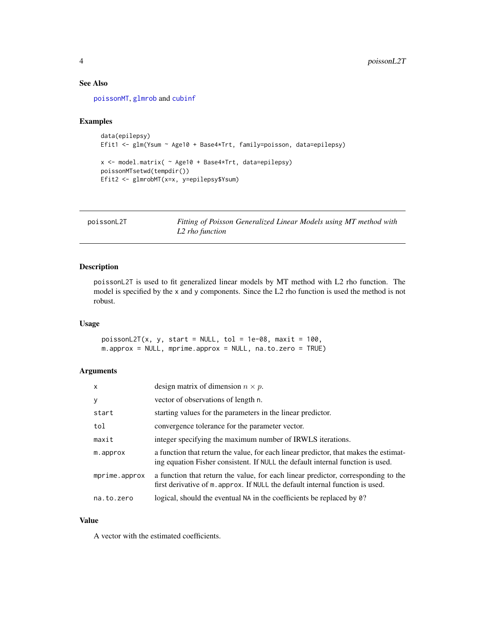## <span id="page-3-0"></span>See Also

[poissonMT](#page-4-1), [glmrob](#page-0-0) and [cubinf](#page-0-0)

#### Examples

```
data(epilepsy)
Efit1 <- glm(Ysum ~ Age10 + Base4*Trt, family=poisson, data=epilepsy)
x <- model.matrix( ~ Age10 + Base4*Trt, data=epilepsy)
poissonMTsetwd(tempdir())
Efit2 <- glmrobMT(x=x, y=epilepsy$Ysum)
```
<span id="page-3-1"></span>poissonL2T *Fitting of Poisson Generalized Linear Models using MT method with L2 rho function*

## Description

poissonL2T is used to fit generalized linear models by MT method with L2 rho function. The model is specified by the x and y components. Since the L2 rho function is used the method is not robust.

## Usage

 $poissonL2T(x, y, start = NULL, tol = 1e-08, maxit = 100,$ m.approx = NULL, mprime.approx = NULL, na.to.zero = TRUE)

## Arguments

| $\mathsf{x}$  | design matrix of dimension $n \times p$ .                                                                                                                              |
|---------------|------------------------------------------------------------------------------------------------------------------------------------------------------------------------|
| y             | vector of observations of length n.                                                                                                                                    |
| start         | starting values for the parameters in the linear predictor.                                                                                                            |
| tol           | convergence tolerance for the parameter vector.                                                                                                                        |
| maxit         | integer specifying the maximum number of IRWLS iterations.                                                                                                             |
| m.approx      | a function that return the value, for each linear predictor, that makes the estimat-<br>ing equation Fisher consistent. If NULL the default internal function is used. |
| mprime.approx | a function that return the value, for each linear predictor, corresponding to the<br>first derivative of m. approx. If NULL the default internal function is used.     |
| na.to.zero    | logical, should the eventual NA in the coefficients be replaced by 0?                                                                                                  |

#### Value

A vector with the estimated coefficients.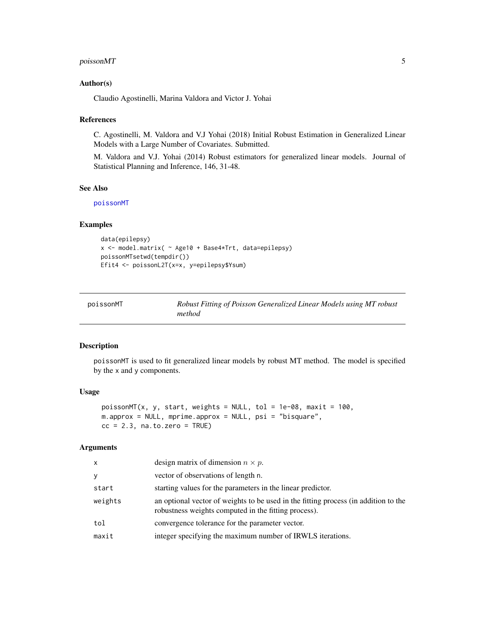## <span id="page-4-0"></span>poissonMT 5

#### Author(s)

Claudio Agostinelli, Marina Valdora and Victor J. Yohai

## References

C. Agostinelli, M. Valdora and V.J Yohai (2018) Initial Robust Estimation in Generalized Linear Models with a Large Number of Covariates. Submitted.

M. Valdora and V.J. Yohai (2014) Robust estimators for generalized linear models. Journal of Statistical Planning and Inference, 146, 31-48.

#### See Also

[poissonMT](#page-4-1)

## Examples

```
data(epilepsy)
x <- model.matrix( ~ Age10 + Base4*Trt, data=epilepsy)
poissonMTsetwd(tempdir())
Efit4 <- poissonL2T(x=x, y=epilepsy$Ysum)
```
<span id="page-4-1"></span>

| poissonMT | Robust Fitting of Poisson Generalized Linear Models using MT robust |
|-----------|---------------------------------------------------------------------|
|           | method                                                              |

#### Description

poissonMT is used to fit generalized linear models by robust MT method. The model is specified by the x and y components.

#### Usage

```
poissonMT(x, y, start, weights = NULL, tol = 1e-08, maxit = 100,m.approx = NULL, mprime.approx = NULL, psi = "bisquare",
cc = 2.3, na.to.zero = TRUE)
```
#### Arguments

| $\mathsf{x}$ | design matrix of dimension $n \times p$ .                                                                                                   |
|--------------|---------------------------------------------------------------------------------------------------------------------------------------------|
| У            | vector of observations of length n.                                                                                                         |
| start        | starting values for the parameters in the linear predictor.                                                                                 |
| weights      | an optional vector of weights to be used in the fitting process (in addition to the<br>robustness weights computed in the fitting process). |
| tol          | convergence tolerance for the parameter vector.                                                                                             |
| maxit        | integer specifying the maximum number of IRWLS iterations.                                                                                  |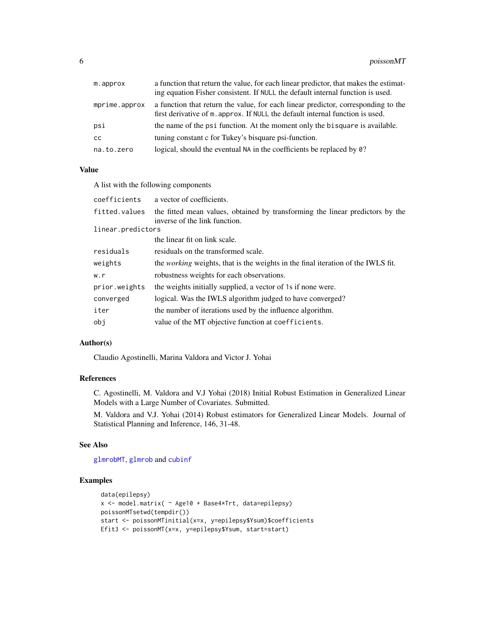<span id="page-5-0"></span>

| m.approx      | a function that return the value, for each linear predictor, that makes the estimat-                                                                               |
|---------------|--------------------------------------------------------------------------------------------------------------------------------------------------------------------|
|               | ing equation Fisher consistent. If NULL the default internal function is used.                                                                                     |
| mprime.approx | a function that return the value, for each linear predictor, corresponding to the<br>first derivative of m. approx. If NULL the default internal function is used. |
| psi           | the name of the psi function. At the moment only the bisquare is available.                                                                                        |
| сc            | tuning constant c for Tukey's bisquare psi-function.                                                                                                               |
| na.to.zero    | logical, should the eventual NA in the coefficients be replaced by 0?                                                                                              |

## Value

A list with the following components

| coefficients      | a vector of coefficients.                                                                                      |
|-------------------|----------------------------------------------------------------------------------------------------------------|
| fitted.values     | the fitted mean values, obtained by transforming the linear predictors by the<br>inverse of the link function. |
| linear.predictors |                                                                                                                |
|                   | the linear fit on link scale.                                                                                  |
| residuals         | residuals on the transformed scale.                                                                            |
| weights           | the <i>working</i> weights, that is the weights in the final iteration of the IWLS fit.                        |
| w.r               | robustness weights for each observations.                                                                      |
| prior.weights     | the weights initially supplied, a vector of 1s if none were.                                                   |
| converged         | logical. Was the IWLS algorithm judged to have converged?                                                      |
| iter              | the number of iterations used by the influence algorithm.                                                      |
| obi               | value of the MT objective function at coefficients.                                                            |
|                   |                                                                                                                |

#### Author(s)

Claudio Agostinelli, Marina Valdora and Victor J. Yohai

## References

C. Agostinelli, M. Valdora and V.J Yohai (2018) Initial Robust Estimation in Generalized Linear Models with a Large Number of Covariates. Submitted.

M. Valdora and V.J. Yohai (2014) Robust estimators for Generalized Linear Models. Journal of Statistical Planning and Inference, 146, 31-48.

#### See Also

[glmrobMT](#page-1-1), [glmrob](#page-0-0) and [cubinf](#page-0-0)

## Examples

```
data(epilepsy)
x <- model.matrix( ~ Age10 + Base4*Trt, data=epilepsy)
poissonMTsetwd(tempdir())
start <- poissonMTinitial(x=x, y=epilepsy$Ysum)$coefficients
Efit3 <- poissonMT(x=x, y=epilepsy$Ysum, start=start)
```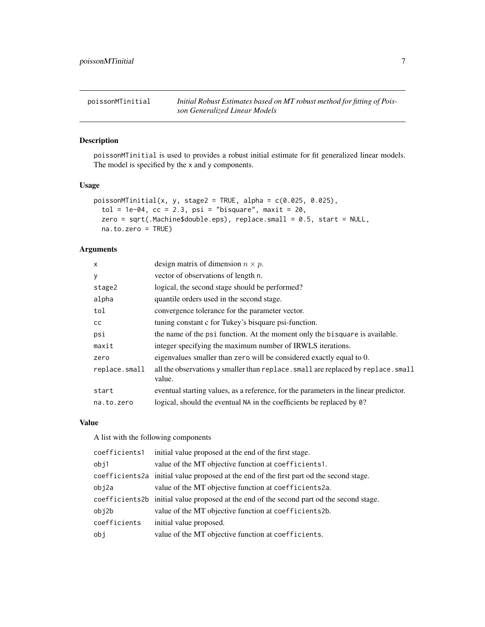<span id="page-6-1"></span><span id="page-6-0"></span>poissonMTinitial *Initial Robust Estimates based on MT robust method for fitting of Poisson Generalized Linear Models*

## Description

poissonMTinitial is used to provides a robust initial estimate for fit generalized linear models. The model is specified by the x and y components.

#### Usage

```
poissonMInitial(x, y, stage2 = TRUE, alpha = c(0.025, 0.025),tol = 1e-04, cc = 2.3, psi = "bisquare", maxit = 20,
  zero = sqrt(.Machine$double.eps), replace.small = 0.5, start = NULL,
 na.to.zero = TRUE)
```
## Arguments

| $\times$      | design matrix of dimension $n \times p$ .                                                   |
|---------------|---------------------------------------------------------------------------------------------|
| У             | vector of observations of length n.                                                         |
| stage2        | logical, the second stage should be performed?                                              |
| alpha         | quantile orders used in the second stage.                                                   |
| tol           | convergence tolerance for the parameter vector.                                             |
| <sub>CC</sub> | tuning constant c for Tukey's bisquare psi-function.                                        |
| psi           | the name of the psi function. At the moment only the bisquare is available.                 |
| maxit         | integer specifying the maximum number of IRWLS iterations.                                  |
| zero          | eigenvalues smaller than zero will be considered exactly equal to 0.                        |
| replace.small | all the observations y smaller than replace. small are replaced by replace. small<br>value. |
| start         | eventual starting values, as a reference, for the parameters in the linear predictor.       |
| na.to.zero    | logical, should the eventual NA in the coefficients be replaced by 0?                       |

#### Value

A list with the following components

| coefficients1 | initial value proposed at the end of the first stage.                                    |
|---------------|------------------------------------------------------------------------------------------|
| obj1          | value of the MT objective function at coefficients1.                                     |
|               | coefficients2a initial value proposed at the end of the first part od the second stage.  |
| obj2a         | value of the MT objective function at coefficients2a.                                    |
|               | coefficients2b initial value proposed at the end of the second part od the second stage. |
| obj2b         | value of the MT objective function at coefficients2b.                                    |
| coefficients  | initial value proposed.                                                                  |
| obj           | value of the MT objective function at coefficients.                                      |
|               |                                                                                          |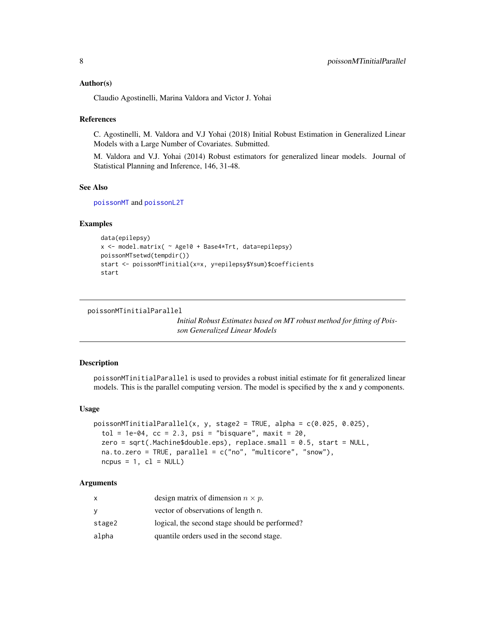#### <span id="page-7-0"></span>Author(s)

Claudio Agostinelli, Marina Valdora and Victor J. Yohai

#### **References**

C. Agostinelli, M. Valdora and V.J Yohai (2018) Initial Robust Estimation in Generalized Linear Models with a Large Number of Covariates. Submitted.

M. Valdora and V.J. Yohai (2014) Robust estimators for generalized linear models. Journal of Statistical Planning and Inference, 146, 31-48.

#### See Also

[poissonMT](#page-4-1) and [poissonL2T](#page-3-1)

#### Examples

```
data(epilepsy)
x <- model.matrix( ~ Age10 + Base4*Trt, data=epilepsy)
poissonMTsetwd(tempdir())
start <- poissonMTinitial(x=x, y=epilepsy$Ysum)$coefficients
start
```

```
poissonMTinitialParallel
```
*Initial Robust Estimates based on MT robust method for fitting of Poisson Generalized Linear Models*

#### Description

poissonMTinitialParallel is used to provides a robust initial estimate for fit generalized linear models. This is the parallel computing version. The model is specified by the x and y components.

## Usage

```
poissonMTinitialParallel(x, y, stage2 = TRUE, alpha = c(0.025, 0.025),
  tol = 1e-04, cc = 2.3, psi = "bisquare", maxit = 20,
  zero = sqrt(.Machine$double.eps), replace.small = 0.5, start = NULL,
  na.to.zero = TRUE, parallel = c("no", "multicore", "snow"),
  ncpus = 1, cl = NULL
```
## Arguments

| x      | design matrix of dimension $n \times p$ .      |
|--------|------------------------------------------------|
| У      | vector of observations of length n.            |
| stage2 | logical, the second stage should be performed? |
| alpha  | quantile orders used in the second stage.      |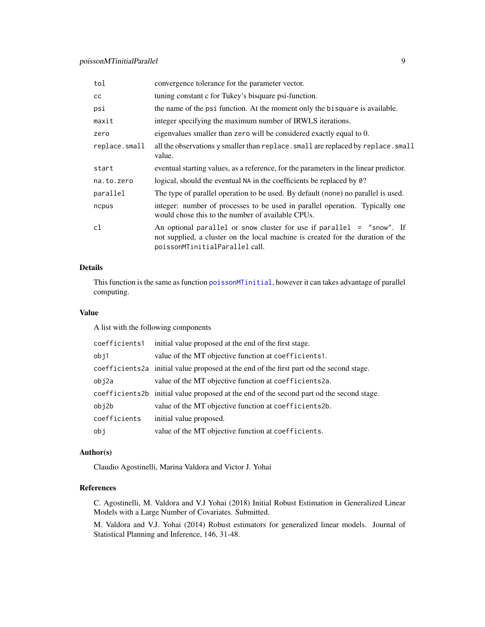<span id="page-8-0"></span>

| tol           | convergence tolerance for the parameter vector.                                                                                                                                              |
|---------------|----------------------------------------------------------------------------------------------------------------------------------------------------------------------------------------------|
| cc            | tuning constant c for Tukey's bisquare psi-function.                                                                                                                                         |
| psi           | the name of the psi function. At the moment only the bisquare is available.                                                                                                                  |
| maxit         | integer specifying the maximum number of IRWLS iterations.                                                                                                                                   |
| zero          | eigenvalues smaller than zero will be considered exactly equal to 0.                                                                                                                         |
| replace.small | all the observations y smaller than replace. small are replaced by replace. small<br>value.                                                                                                  |
| start         | eventual starting values, as a reference, for the parameters in the linear predictor.                                                                                                        |
| na.to.zero    | logical, should the eventual NA in the coefficients be replaced by 0?                                                                                                                        |
| parallel      | The type of parallel operation to be used. By default (none) no parallel is used.                                                                                                            |
| ncpus         | integer: number of processes to be used in parallel operation. Typically one<br>would chose this to the number of available CPUs.                                                            |
| cl            | An optional parallel or snow cluster for use if parallel $=$ "snow". If<br>not supplied, a cluster on the local machine is created for the duration of the<br>poissonMTinitialParallel call. |

## Details

This function is the same as function [poissonMTinitial](#page-6-1), however it can takes advantage of parallel computing.

## Value

A list with the following components

| coefficients1 | initial value proposed at the end of the first stage.                                    |
|---------------|------------------------------------------------------------------------------------------|
| obj1          | value of the MT objective function at coefficients1.                                     |
|               | coefficients 2a initial value proposed at the end of the first part od the second stage. |
| obj2a         | value of the MT objective function at coefficients2a.                                    |
|               | coefficients2b initial value proposed at the end of the second part od the second stage. |
| obj2b         | value of the MT objective function at coefficients2b.                                    |
| coefficients  | initial value proposed.                                                                  |
| obj           | value of the MT objective function at coefficients.                                      |
|               |                                                                                          |

## Author(s)

Claudio Agostinelli, Marina Valdora and Victor J. Yohai

## References

C. Agostinelli, M. Valdora and V.J Yohai (2018) Initial Robust Estimation in Generalized Linear Models with a Large Number of Covariates. Submitted.

M. Valdora and V.J. Yohai (2014) Robust estimators for generalized linear models. Journal of Statistical Planning and Inference, 146, 31-48.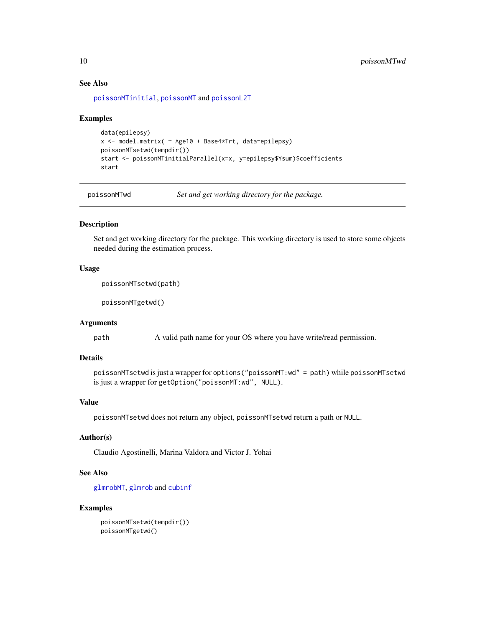## See Also

[poissonMTinitial](#page-6-1), [poissonMT](#page-4-1) and [poissonL2T](#page-3-1)

#### Examples

```
data(epilepsy)
x <- model.matrix( ~ Age10 + Base4*Trt, data=epilepsy)
poissonMTsetwd(tempdir())
start <- poissonMTinitialParallel(x=x, y=epilepsy$Ysum)$coefficients
start
```
poissonMTwd *Set and get working directory for the package.*

## Description

Set and get working directory for the package. This working directory is used to store some objects needed during the estimation process.

#### Usage

poissonMTsetwd(path)

poissonMTgetwd()

## Arguments

path A valid path name for your OS where you have write/read permission.

## Details

```
poissonMTsetwd is just a wrapper for options("poissonMT:wd" = path) while poissonMTsetwd
is just a wrapper for getOption("poissonMT:wd", NULL).
```
## Value

poissonMTsetwd does not return any object, poissonMTsetwd return a path or NULL.

## Author(s)

Claudio Agostinelli, Marina Valdora and Victor J. Yohai

#### See Also

[glmrobMT](#page-1-1), [glmrob](#page-0-0) and [cubinf](#page-0-0)

#### Examples

```
poissonMTsetwd(tempdir())
poissonMTgetwd()
```
<span id="page-9-0"></span>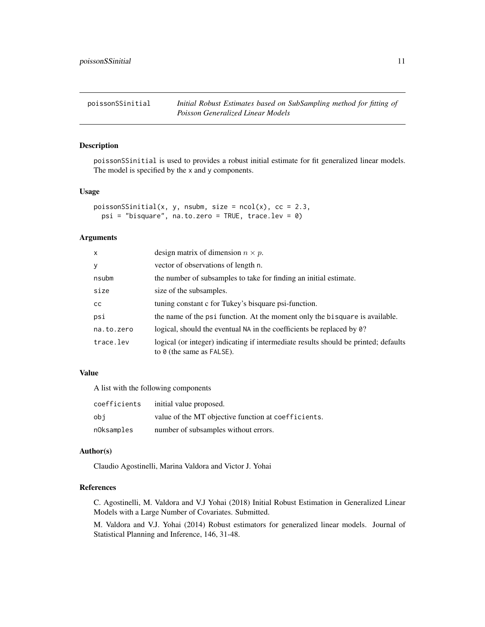<span id="page-10-0"></span>poissonSSinitial *Initial Robust Estimates based on SubSampling method for fitting of Poisson Generalized Linear Models*

#### Description

poissonSSinitial is used to provides a robust initial estimate for fit generalized linear models. The model is specified by the x and y components.

#### Usage

```
poissonSSinitial(x, y, nsubm, size = ncol(x), cc = 2.3,
 psi = "bisquare", na.to.zero = TRUE, trace.lev = 0)
```
#### Arguments

| $\mathsf{x}$ | design matrix of dimension $n \times p$ .                                                                               |
|--------------|-------------------------------------------------------------------------------------------------------------------------|
| У            | vector of observations of length n.                                                                                     |
| nsubm        | the number of subsamples to take for finding an initial estimate.                                                       |
| size         | size of the subsamples.                                                                                                 |
| CC.          | tuning constant c for Tukey's bisquare psi-function.                                                                    |
| psi          | the name of the psi function. At the moment only the bisquare is available.                                             |
| na.to.zero   | logical, should the eventual NA in the coefficients be replaced by 0?                                                   |
| trace.lev    | logical (or integer) indicating if intermediate results should be printed; defaults<br>to $\theta$ (the same as FALSE). |

## Value

A list with the following components

| coefficients | initial value proposed.                             |
|--------------|-----------------------------------------------------|
| obi          | value of the MT objective function at coefficients. |
| nOksamples   | number of subsamples without errors.                |

#### Author(s)

Claudio Agostinelli, Marina Valdora and Victor J. Yohai

## References

C. Agostinelli, M. Valdora and V.J Yohai (2018) Initial Robust Estimation in Generalized Linear Models with a Large Number of Covariates. Submitted.

M. Valdora and V.J. Yohai (2014) Robust estimators for generalized linear models. Journal of Statistical Planning and Inference, 146, 31-48.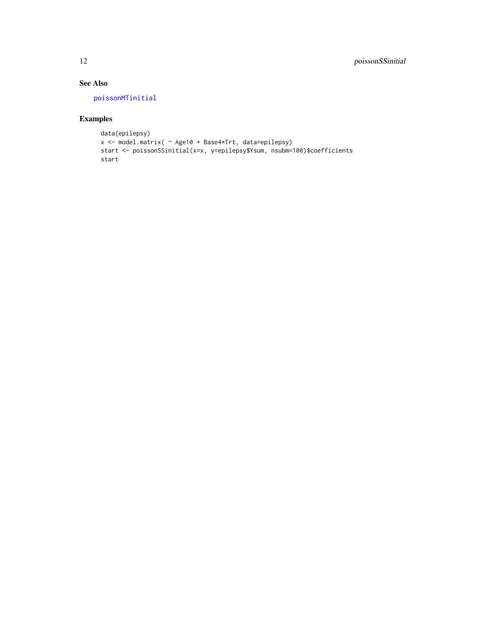## See Also

[poissonMTinitial](#page-6-1)

## Examples

```
data(epilepsy)
x <- model.matrix( ~ Age10 + Base4*Trt, data=epilepsy)
start <- poissonSSinitial(x=x, y=epilepsy$Ysum, nsubm=100)$coefficients
start
```
<span id="page-11-0"></span>